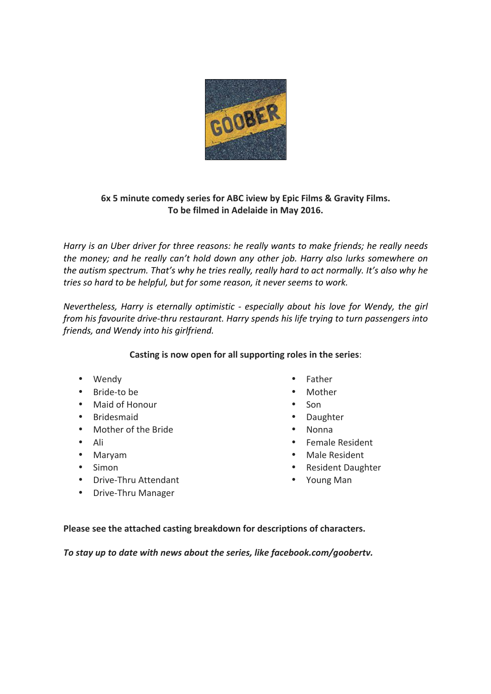

## **6x 5 minute comedy series for ABC iview by Epic Films & Gravity Films.** To be filmed in Adelaide in May 2016.

*Harry* is an Uber driver for three reasons: he really wants to make friends; he really needs *the money;* and he really can't hold down any other job. Harry also lurks somewhere on the autism spectrum. That's why he tries really, really hard to act normally. It's also why he *tries* so hard to be helpful, but for some reason, it never seems to work.

*Nevertheless, Harry is eternally optimistic - especially about his love for Wendy, the girl from his favourite drive-thru restaurant.* Harry spends his life trying to turn passengers into *friends, and Wendy into his girlfriend.*

## **Casting is now open for all supporting roles in the series:**

- Wendy
- Bride-to be
- Maid of Honour
- Bridesmaid
- Mother of the Bride
- Ali
- Maryam
- Simon
- Drive-Thru Attendant
- Drive-Thru Manager
- Father
- Mother
- Son
- Daughter
- Nonna
- Female Resident
- Male Resident
- Resident Daughter
- Young Man

Please see the attached casting breakdown for descriptions of characters.

To stay up to date with news about the series, like facebook.com/goobertv.